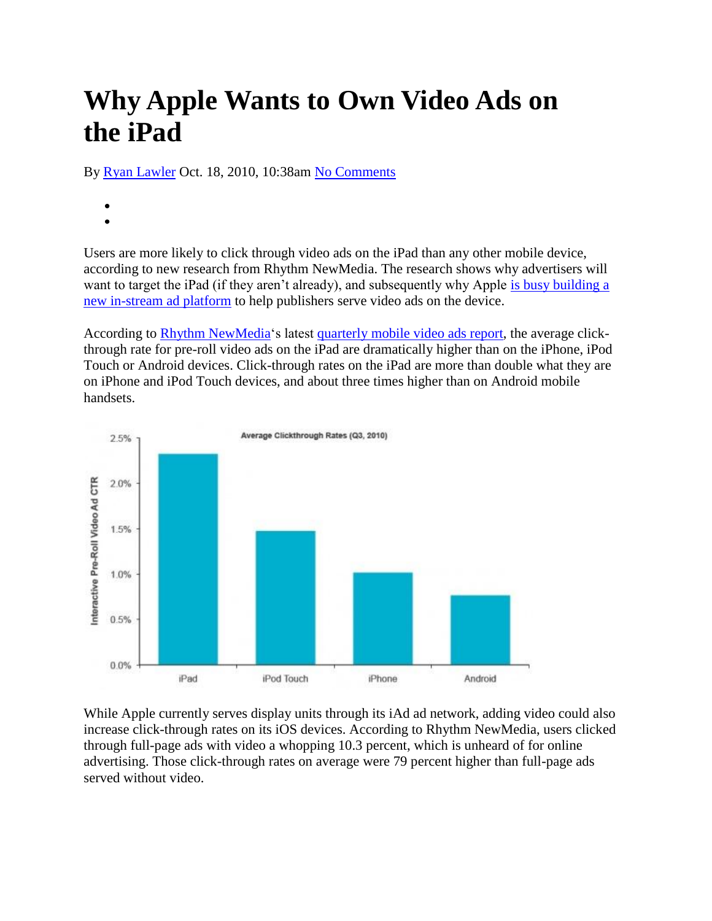## **Why Apple Wants to Own Video Ads on the iPad**

By Ryan Lawler Oct. 18, 2010, 10:38am No Comments

- 
- 

Users are more likely to click through video ads on the iPad than any other mobile device, according to new research from Rhythm NewMedia. The research shows why advertisers will want to target the iPad (if they aren't already), and subsequently why Apple is busy building a new in-stream ad platform to help publishers serve video ads on the device.

According to Rhythm NewMedia's latest quarterly mobile video ads report, the average clickthrough rate for pre-roll video ads on the iPad are dramatically higher than on the iPhone, iPod Touch or Android devices. Click-through rates on the iPad are more than double what they are on iPhone and iPod Touch devices, and about three times higher than on Android mobile handsets.



While Apple currently serves display units through its iAd ad network, adding video could also increase click-through rates on its iOS devices. According to Rhythm NewMedia, users clicked through full-page ads with video a whopping 10.3 percent, which is unheard of for online advertising. Those click-through rates on average were 79 percent higher than full-page ads served without video.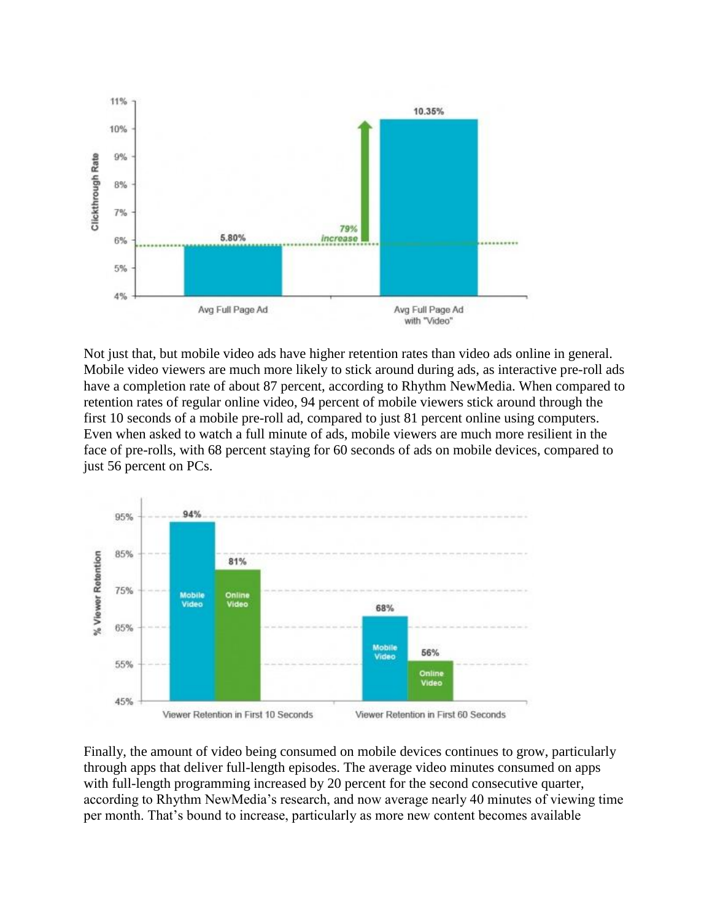

Not just that, but mobile video ads have higher retention rates than video ads online in general. Mobile video viewers are much more likely to stick around during ads, as interactive pre-roll ads have a completion rate of about 87 percent, according to Rhythm NewMedia. When compared to retention rates of regular online video, 94 percent of mobile viewers stick around through the first 10 seconds of a mobile pre-roll ad, compared to just 81 percent online using computers. Even when asked to watch a full minute of ads, mobile viewers are much more resilient in the face of pre-rolls, with 68 percent staying for 60 seconds of ads on mobile devices, compared to just 56 percent on PCs.



Finally, the amount of video being consumed on mobile devices continues to grow, particularly through apps that deliver full-length episodes. The average video minutes consumed on apps with full-length programming increased by 20 percent for the second consecutive quarter, according to Rhythm NewMedia's research, and now average nearly 40 minutes of viewing time per month. That's bound to increase, particularly as more new content becomes available